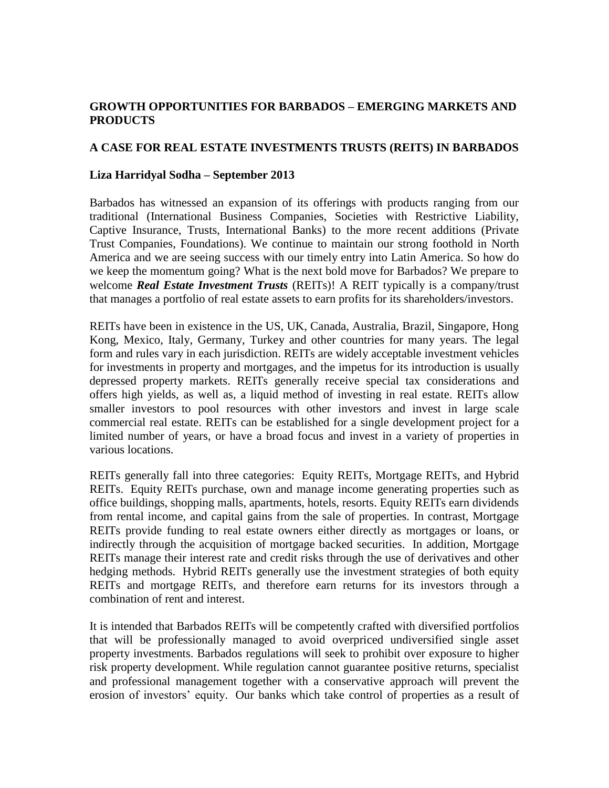## **GROWTH OPPORTUNITIES FOR BARBADOS – EMERGING MARKETS AND PRODUCTS**

## **A CASE FOR REAL ESTATE INVESTMENTS TRUSTS (REITS) IN BARBADOS**

## **Liza Harridyal Sodha – September 2013**

Barbados has witnessed an expansion of its offerings with products ranging from our traditional (International Business Companies, Societies with Restrictive Liability, Captive Insurance, Trusts, International Banks) to the more recent additions (Private Trust Companies, Foundations). We continue to maintain our strong foothold in North America and we are seeing success with our timely entry into Latin America. So how do we keep the momentum going? What is the next bold move for Barbados? We prepare to welcome *Real Estate Investment Trusts* (REITs)! A REIT typically is a company/trust that manages a portfolio of real estate assets to earn profits for its shareholders/investors.

REITs have been in existence in the US, UK, Canada, Australia, Brazil, Singapore, Hong Kong, Mexico, Italy, Germany, Turkey and other countries for many years. The legal form and rules vary in each jurisdiction. REITs are widely acceptable investment vehicles for investments in property and mortgages, and the impetus for its introduction is usually depressed property markets. REITs generally receive special tax considerations and offers high yields, as well as, a liquid method of investing in real estate. REITs allow smaller investors to pool resources with other investors and invest in large scale commercial real estate. REITs can be established for a single development project for a limited number of years, or have a broad focus and invest in a variety of properties in various locations.

REITs generally fall into three categories: Equity REITs, Mortgage REITs, and Hybrid REITs. Equity REITs purchase, own and manage income generating properties such as office buildings, shopping malls, apartments, hotels, resorts. Equity REITs earn dividends from rental income, and capital gains from the sale of properties. In contrast, Mortgage REITs provide funding to real estate owners either directly as mortgages or loans, or indirectly through the acquisition of mortgage backed securities. In addition, Mortgage REITs manage their interest rate and credit risks through the use of derivatives and other hedging methods. Hybrid REITs generally use the investment strategies of both equity REITs and mortgage REITs, and therefore earn returns for its investors through a combination of rent and interest.

It is intended that Barbados REITs will be competently crafted with diversified portfolios that will be professionally managed to avoid overpriced undiversified single asset property investments. Barbados regulations will seek to prohibit over exposure to higher risk property development. While regulation cannot guarantee positive returns, specialist and professional management together with a conservative approach will prevent the erosion of investors' equity. Our banks which take control of properties as a result of